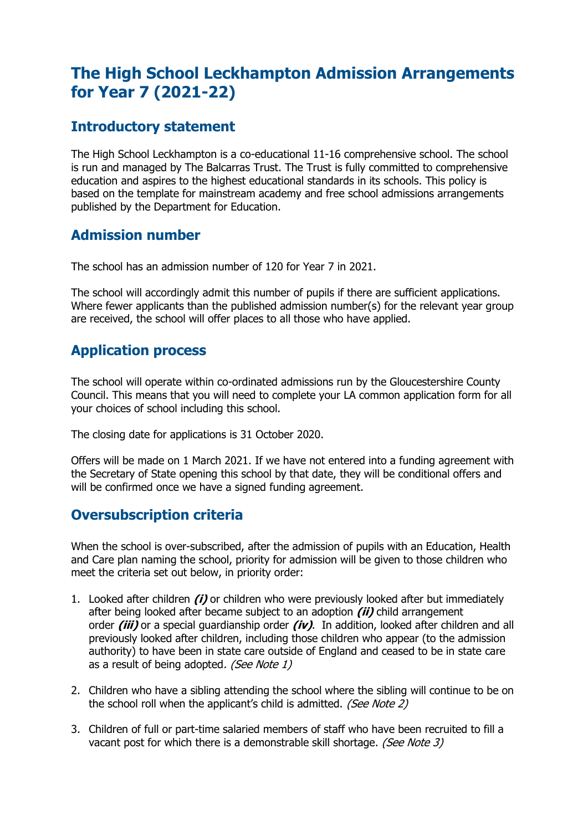# **The High School Leckhampton Admission Arrangements for Year 7 (2021-22)**

### **Introductory statement**

The High School Leckhampton is a co-educational 11-16 comprehensive school. The school is run and managed by The Balcarras Trust. The Trust is fully committed to comprehensive education and aspires to the highest educational standards in its schools. This policy is based on the template for mainstream academy and free school admissions arrangements published by the Department for Education.

### **Admission number**

The school has an admission number of 120 for Year 7 in 2021.

The school will accordingly admit this number of pupils if there are sufficient applications. Where fewer applicants than the published admission number(s) for the relevant year group are received, the school will offer places to all those who have applied.

# **Application process**

The school will operate within co-ordinated admissions run by the Gloucestershire County Council. This means that you will need to complete your LA common application form for all your choices of school including this school.

The closing date for applications is 31 October 2020.

Offers will be made on 1 March 2021. If we have not entered into a funding agreement with the Secretary of State opening this school by that date, they will be conditional offers and will be confirmed once we have a signed funding agreement.

# **Oversubscription criteria**

When the school is over-subscribed, after the admission of pupils with an Education, Health and Care plan naming the school, priority for admission will be given to those children who meet the criteria set out below, in priority order:

- 1. Looked after children **(i)** or children who were previously looked after but immediately after being looked after became subject to an adoption **(ii)** child arrangement order **(iii)** or a special guardianship order **(iv)**. In addition, looked after children and all previously looked after children, including those children who appear (to the admission authority) to have been in state care outside of England and ceased to be in state care as a result of being adopted. (See Note 1)
- 2. Children who have a sibling attending the school where the sibling will continue to be on the school roll when the applicant's child is admitted. (See Note 2)
- 3. Children of full or part-time salaried members of staff who have been recruited to fill a vacant post for which there is a demonstrable skill shortage. (See Note 3)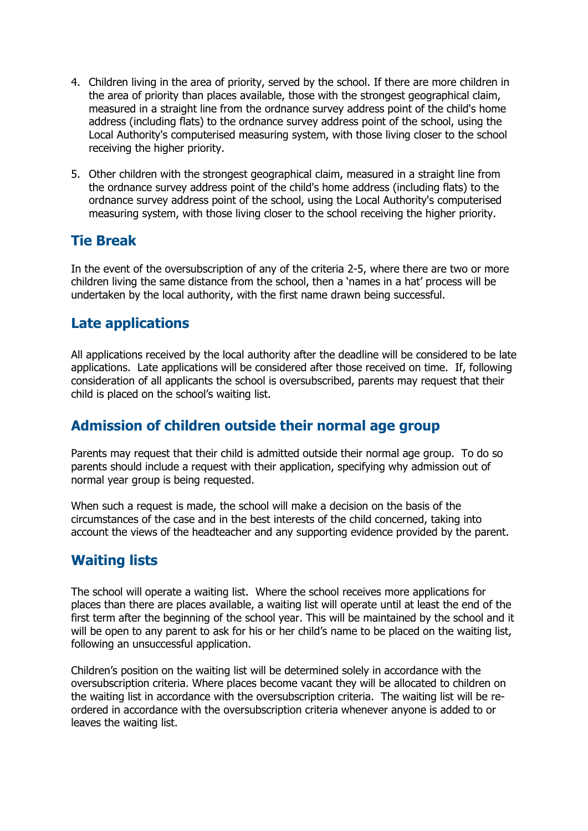- 4. Children living in the area of priority, served by the school. If there are more children in the area of priority than places available, those with the strongest geographical claim, measured in a straight line from the ordnance survey address point of the child's home address (including flats) to the ordnance survey address point of the school, using the Local Authority's computerised measuring system, with those living closer to the school receiving the higher priority.
- 5. Other children with the strongest geographical claim, measured in a straight line from the ordnance survey address point of the child's home address (including flats) to the ordnance survey address point of the school, using the Local Authority's computerised measuring system, with those living closer to the school receiving the higher priority.

### **Tie Break**

In the event of the oversubscription of any of the criteria 2-5, where there are two or more children living the same distance from the school, then a 'names in a hat' process will be undertaken by the local authority, with the first name drawn being successful.

# **Late applications**

All applications received by the local authority after the deadline will be considered to be late applications. Late applications will be considered after those received on time. If, following consideration of all applicants the school is oversubscribed, parents may request that their child is placed on the school's waiting list.

# **Admission of children outside their normal age group**

Parents may request that their child is admitted outside their normal age group. To do so parents should include a request with their application, specifying why admission out of normal year group is being requested.

When such a request is made, the school will make a decision on the basis of the circumstances of the case and in the best interests of the child concerned, taking into account the views of the headteacher and any supporting evidence provided by the parent.

### **Waiting lists**

The school will operate a waiting list. Where the school receives more applications for places than there are places available, a waiting list will operate until at least the end of the first term after the beginning of the school year. This will be maintained by the school and it will be open to any parent to ask for his or her child's name to be placed on the waiting list, following an unsuccessful application.

Children's position on the waiting list will be determined solely in accordance with the oversubscription criteria. Where places become vacant they will be allocated to children on the waiting list in accordance with the oversubscription criteria. The waiting list will be reordered in accordance with the oversubscription criteria whenever anyone is added to or leaves the waiting list.